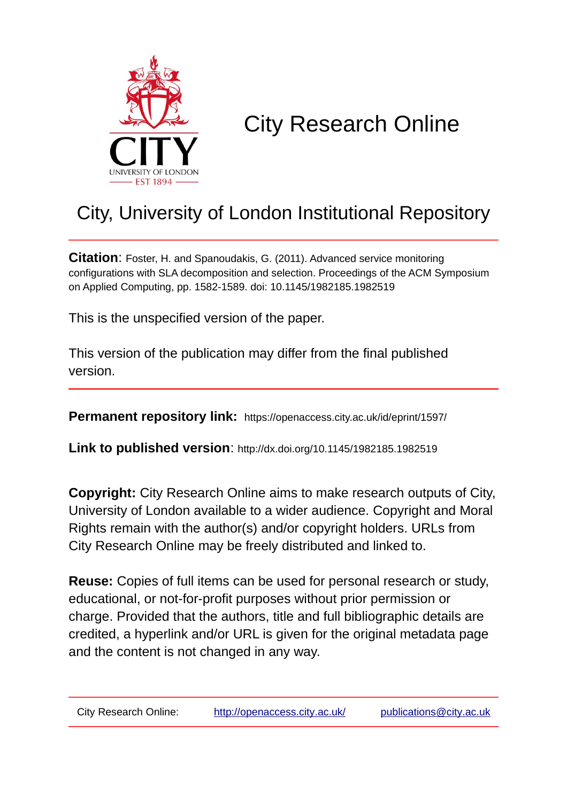

# City Research Online

## City, University of London Institutional Repository

**Citation**: Foster, H. and Spanoudakis, G. (2011). Advanced service monitoring configurations with SLA decomposition and selection. Proceedings of the ACM Symposium on Applied Computing, pp. 1582-1589. doi: 10.1145/1982185.1982519

This is the unspecified version of the paper.

This version of the publication may differ from the final published version.

**Permanent repository link:** https://openaccess.city.ac.uk/id/eprint/1597/

**Link to published version**: http://dx.doi.org/10.1145/1982185.1982519

**Copyright:** City Research Online aims to make research outputs of City, University of London available to a wider audience. Copyright and Moral Rights remain with the author(s) and/or copyright holders. URLs from City Research Online may be freely distributed and linked to.

**Reuse:** Copies of full items can be used for personal research or study, educational, or not-for-profit purposes without prior permission or charge. Provided that the authors, title and full bibliographic details are credited, a hyperlink and/or URL is given for the original metadata page and the content is not changed in any way.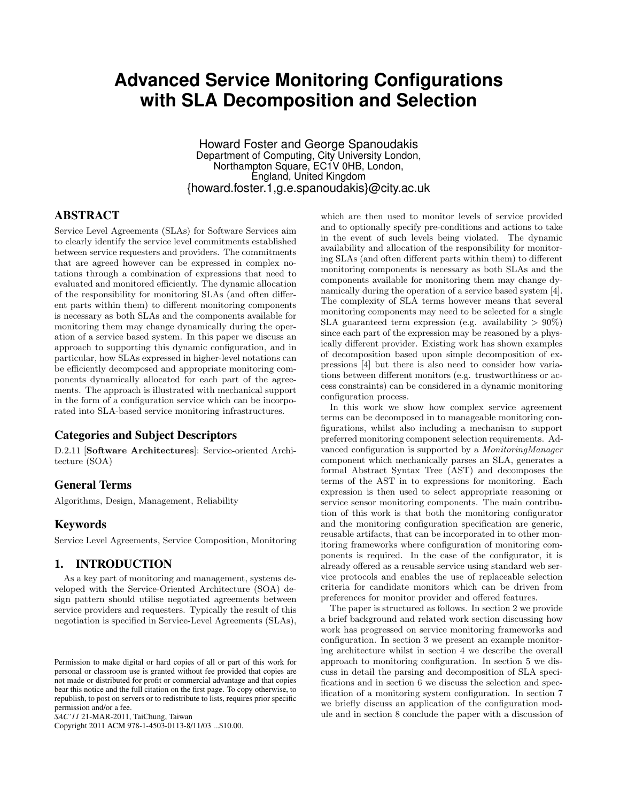### **Advanced Service Monitoring Configurations with SLA Decomposition and Selection**

Howard Foster and George Spanoudakis Department of Computing, City University London, Northampton Square, EC1V 0HB, London, England, United Kingdom {howard.foster.1,g.e.spanoudakis}@city.ac.uk

#### ABSTRACT

Service Level Agreements (SLAs) for Software Services aim to clearly identify the service level commitments established between service requesters and providers. The commitments that are agreed however can be expressed in complex notations through a combination of expressions that need to evaluated and monitored efficiently. The dynamic allocation of the responsibility for monitoring SLAs (and often different parts within them) to different monitoring components is necessary as both SLAs and the components available for monitoring them may change dynamically during the operation of a service based system. In this paper we discuss an approach to supporting this dynamic configuration, and in particular, how SLAs expressed in higher-level notations can be efficiently decomposed and appropriate monitoring components dynamically allocated for each part of the agreements. The approach is illustrated with mechanical support in the form of a configuration service which can be incorporated into SLA-based service monitoring infrastructures.

#### Categories and Subject Descriptors

D.2.11 [Software Architectures]: Service-oriented Architecture (SOA)

#### General Terms

Algorithms, Design, Management, Reliability

#### Keywords

Service Level Agreements, Service Composition, Monitoring

#### 1. INTRODUCTION

As a key part of monitoring and management, systems developed with the Service-Oriented Architecture (SOA) design pattern should utilise negotiated agreements between service providers and requesters. Typically the result of this negotiation is specified in Service-Level Agreements (SLAs),

Copyright 2011 ACM 978-1-4503-0113-8/11/03 ...\$10.00.

which are then used to monitor levels of service provided and to optionally specify pre-conditions and actions to take in the event of such levels being violated. The dynamic availability and allocation of the responsibility for monitoring SLAs (and often different parts within them) to different monitoring components is necessary as both SLAs and the components available for monitoring them may change dynamically during the operation of a service based system [4]. The complexity of SLA terms however means that several monitoring components may need to be selected for a single SLA guaranteed term expression (e.g. availability  $> 90\%$ ) since each part of the expression may be reasoned by a physically different provider. Existing work has shown examples of decomposition based upon simple decomposition of expressions [4] but there is also need to consider how variations between different monitors (e.g. trustworthiness or access constraints) can be considered in a dynamic monitoring configuration process.

In this work we show how complex service agreement terms can be decomposed in to manageable monitoring configurations, whilst also including a mechanism to support preferred monitoring component selection requirements. Advanced configuration is supported by a MonitoringManager component which mechanically parses an SLA, generates a formal Abstract Syntax Tree (AST) and decomposes the terms of the AST in to expressions for monitoring. Each expression is then used to select appropriate reasoning or service sensor monitoring components. The main contribution of this work is that both the monitoring configurator and the monitoring configuration specification are generic, reusable artifacts, that can be incorporated in to other monitoring frameworks where configuration of monitoring components is required. In the case of the configurator, it is already offered as a reusable service using standard web service protocols and enables the use of replaceable selection criteria for candidate monitors which can be driven from preferences for monitor provider and offered features.

The paper is structured as follows. In section 2 we provide a brief background and related work section discussing how work has progressed on service monitoring frameworks and configuration. In section 3 we present an example monitoring architecture whilst in section 4 we describe the overall approach to monitoring configuration. In section 5 we discuss in detail the parsing and decomposition of SLA specifications and in section 6 we discuss the selection and specification of a monitoring system configuration. In section 7 we briefly discuss an application of the configuration module and in section 8 conclude the paper with a discussion of

Permission to make digital or hard copies of all or part of this work for personal or classroom use is granted without fee provided that copies are not made or distributed for profit or commercial advantage and that copies bear this notice and the full citation on the first page. To copy otherwise, to republish, to post on servers or to redistribute to lists, requires prior specific permission and/or a fee.

*SAC'11* 21-MAR-2011, TaiChung, Taiwan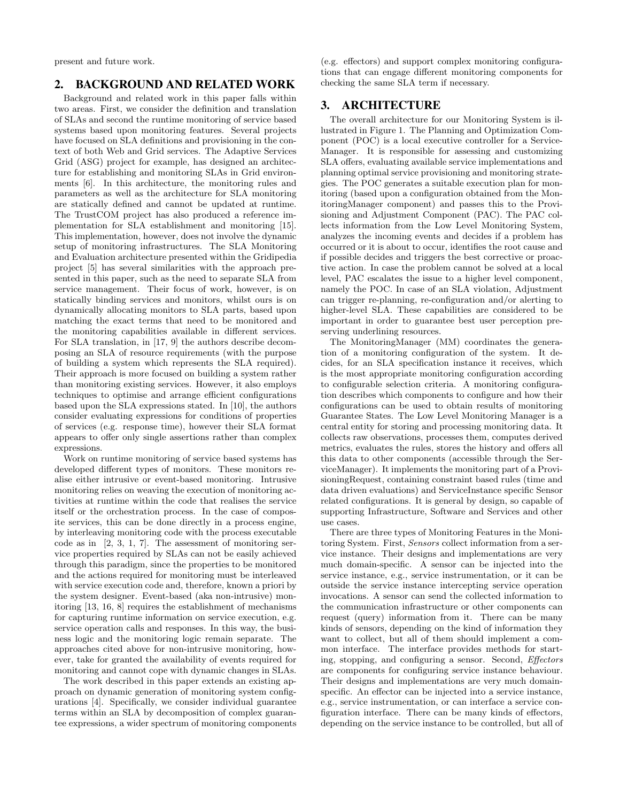present and future work.

#### 2. BACKGROUND AND RELATED WORK

Background and related work in this paper falls within two areas. First, we consider the definition and translation of SLAs and second the runtime monitoring of service based systems based upon monitoring features. Several projects have focused on SLA definitions and provisioning in the context of both Web and Grid services. The Adaptive Services Grid (ASG) project for example, has designed an architecture for establishing and monitoring SLAs in Grid environments [6]. In this architecture, the monitoring rules and parameters as well as the architecture for SLA monitoring are statically defined and cannot be updated at runtime. The TrustCOM project has also produced a reference implementation for SLA establishment and monitoring [15]. This implementation, however, does not involve the dynamic setup of monitoring infrastructures. The SLA Monitoring and Evaluation architecture presented within the Gridipedia project [5] has several similarities with the approach presented in this paper, such as the need to separate SLA from service management. Their focus of work, however, is on statically binding services and monitors, whilst ours is on dynamically allocating monitors to SLA parts, based upon matching the exact terms that need to be monitored and the monitoring capabilities available in different services. For SLA translation, in [17, 9] the authors describe decomposing an SLA of resource requirements (with the purpose of building a system which represents the SLA required). Their approach is more focused on building a system rather than monitoring existing services. However, it also employs techniques to optimise and arrange efficient configurations based upon the SLA expressions stated. In [10], the authors consider evaluating expressions for conditions of properties of services (e.g. response time), however their SLA format appears to offer only single assertions rather than complex expressions.

Work on runtime monitoring of service based systems has developed different types of monitors. These monitors realise either intrusive or event-based monitoring. Intrusive monitoring relies on weaving the execution of monitoring activities at runtime within the code that realises the service itself or the orchestration process. In the case of composite services, this can be done directly in a process engine, by interleaving monitoring code with the process executable code as in [2, 3, 1, 7]. The assessment of monitoring service properties required by SLAs can not be easily achieved through this paradigm, since the properties to be monitored and the actions required for monitoring must be interleaved with service execution code and, therefore, known a priori by the system designer. Event-based (aka non-intrusive) monitoring [13, 16, 8] requires the establishment of mechanisms for capturing runtime information on service execution, e.g. service operation calls and responses. In this way, the business logic and the monitoring logic remain separate. The approaches cited above for non-intrusive monitoring, however, take for granted the availability of events required for monitoring and cannot cope with dynamic changes in SLAs.

The work described in this paper extends an existing approach on dynamic generation of monitoring system configurations [4]. Specifically, we consider individual guarantee terms within an SLA by decomposition of complex guarantee expressions, a wider spectrum of monitoring components (e.g. effectors) and support complex monitoring configurations that can engage different monitoring components for checking the same SLA term if necessary.

#### 3. ARCHITECTURE

The overall architecture for our Monitoring System is illustrated in Figure 1. The Planning and Optimization Component (POC) is a local executive controller for a Service-Manager. It is responsible for assessing and customizing SLA offers, evaluating available service implementations and planning optimal service provisioning and monitoring strategies. The POC generates a suitable execution plan for monitoring (based upon a configuration obtained from the MonitoringManager component) and passes this to the Provisioning and Adjustment Component (PAC). The PAC collects information from the Low Level Monitoring System, analyzes the incoming events and decides if a problem has occurred or it is about to occur, identifies the root cause and if possible decides and triggers the best corrective or proactive action. In case the problem cannot be solved at a local level, PAC escalates the issue to a higher level component, namely the POC. In case of an SLA violation, Adjustment can trigger re-planning, re-configuration and/or alerting to higher-level SLA. These capabilities are considered to be important in order to guarantee best user perception preserving underlining resources.

The MonitoringManager (MM) coordinates the generation of a monitoring configuration of the system. It decides, for an SLA specification instance it receives, which is the most appropriate monitoring configuration according to configurable selection criteria. A monitoring configuration describes which components to configure and how their configurations can be used to obtain results of monitoring Guarantee States. The Low Level Monitoring Manager is a central entity for storing and processing monitoring data. It collects raw observations, processes them, computes derived metrics, evaluates the rules, stores the history and offers all this data to other components (accessible through the ServiceManager). It implements the monitoring part of a ProvisioningRequest, containing constraint based rules (time and data driven evaluations) and ServiceInstance specific Sensor related configurations. It is general by design, so capable of supporting Infrastructure, Software and Services and other use cases.

There are three types of Monitoring Features in the Monitoring System. First, Sensors collect information from a service instance. Their designs and implementations are very much domain-specific. A sensor can be injected into the service instance, e.g., service instrumentation, or it can be outside the service instance intercepting service operation invocations. A sensor can send the collected information to the communication infrastructure or other components can request (query) information from it. There can be many kinds of sensors, depending on the kind of information they want to collect, but all of them should implement a common interface. The interface provides methods for starting, stopping, and configuring a sensor. Second, Effectors are components for configuring service instance behaviour. Their designs and implementations are very much domainspecific. An effector can be injected into a service instance, e.g., service instrumentation, or can interface a service configuration interface. There can be many kinds of effectors, depending on the service instance to be controlled, but all of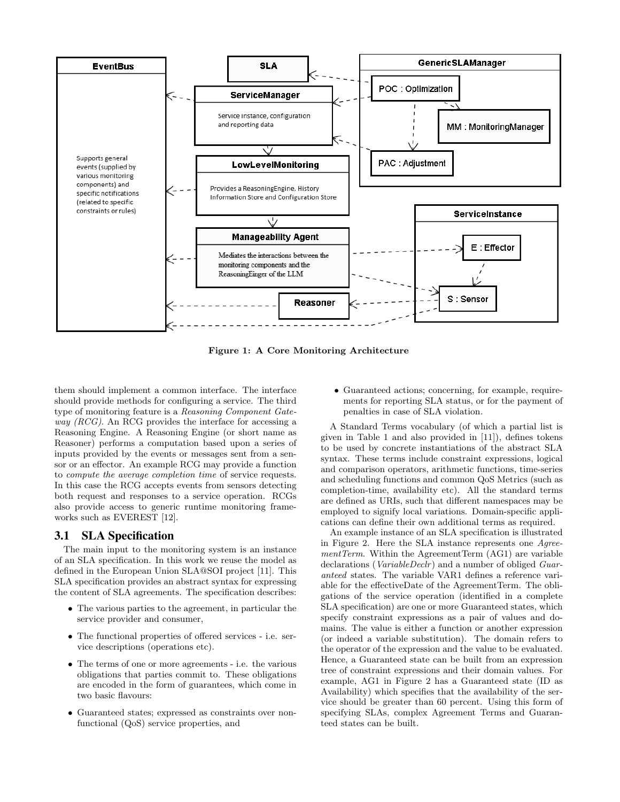

Figure 1: A Core Monitoring Architecture

them should implement a common interface. The interface should provide methods for configuring a service. The third type of monitoring feature is a Reasoning Component Gate $way (RCG)$ . An RCG provides the interface for accessing a Reasoning Engine. A Reasoning Engine (or short name as Reasoner) performs a computation based upon a series of inputs provided by the events or messages sent from a sensor or an effector. An example RCG may provide a function to compute the average completion time of service requests. In this case the RCG accepts events from sensors detecting both request and responses to a service operation. RCGs also provide access to generic runtime monitoring frameworks such as EVEREST [12].

#### 3.1 SLA Specification

The main input to the monitoring system is an instance of an SLA specification. In this work we reuse the model as defined in the European Union SLA@SOI project [11]. This SLA specification provides an abstract syntax for expressing the content of SLA agreements. The specification describes:

- The various parties to the agreement, in particular the service provider and consumer,
- The functional properties of offered services i.e. service descriptions (operations etc).
- The terms of one or more agreements i.e. the various obligations that parties commit to. These obligations are encoded in the form of guarantees, which come in two basic flavours:
- Guaranteed states; expressed as constraints over nonfunctional (QoS) service properties, and

• Guaranteed actions; concerning, for example, requirements for reporting SLA status, or for the payment of penalties in case of SLA violation.

A Standard Terms vocabulary (of which a partial list is given in Table 1 and also provided in [11]), defines tokens to be used by concrete instantiations of the abstract SLA syntax. These terms include constraint expressions, logical and comparison operators, arithmetic functions, time-series and scheduling functions and common QoS Metrics (such as completion-time, availability etc). All the standard terms are defined as URIs, such that different namespaces may be employed to signify local variations. Domain-specific applications can define their own additional terms as required.

An example instance of an SLA specification is illustrated in Figure 2. Here the SLA instance represents one AgreementTerm. Within the AgreementTerm (AG1) are variable declarations (*VariableDeclr*) and a number of obliged *Guar*anteed states. The variable VAR1 defines a reference variable for the effectiveDate of the AgreementTerm. The obligations of the service operation (identified in a complete SLA specification) are one or more Guaranteed states, which specify constraint expressions as a pair of values and domains. The value is either a function or another expression (or indeed a variable substitution). The domain refers to the operator of the expression and the value to be evaluated. Hence, a Guaranteed state can be built from an expression tree of constraint expressions and their domain values. For example, AG1 in Figure 2 has a Guaranteed state (ID as Availability) which specifies that the availability of the service should be greater than 60 percent. Using this form of specifying SLAs, complex Agreement Terms and Guaranteed states can be built.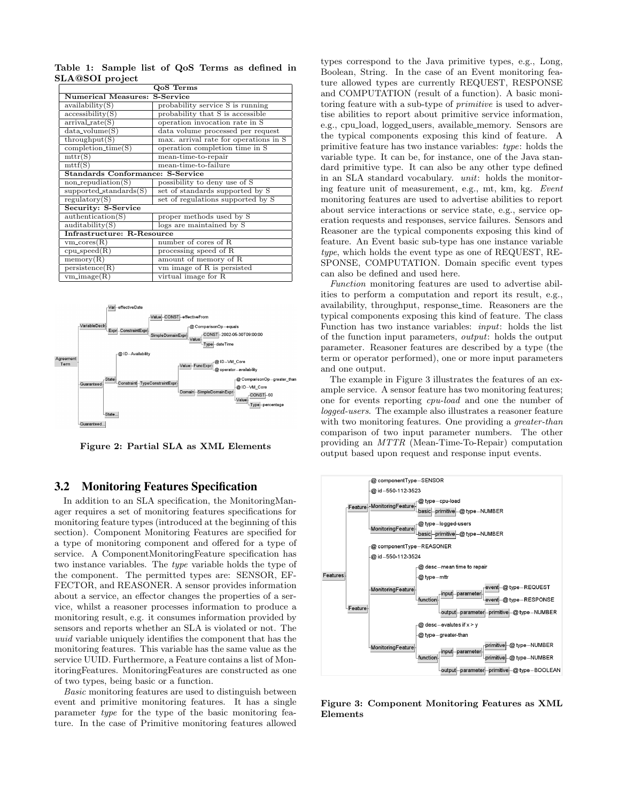Table 1: Sample list of QoS Terms as defined in SLA@SOI project

| QoS Terms                               |                                       |  |
|-----------------------------------------|---------------------------------------|--|
| <b>Numerical Measures:</b><br>S-Service |                                       |  |
| availability(S)                         | probability service S is running      |  |
| accessibility(S)                        | probability that S is accessible      |  |
| $arrivial_rate(S)$                      | operation invocation rate in S        |  |
| $data\_volume(S)$                       | data volume processed per request     |  |
| throughput(S)                           | max. arrival rate for operations in S |  |
| $completion_time(S)$                    | operation completion time in S        |  |
| mtr(S)                                  | mean-time-to-repair                   |  |
| $\text{mttf}(S)$                        | mean-time-to-failure                  |  |
| <b>Standards Conformance: S-Service</b> |                                       |  |
| $non_{repudiation}(S)$                  | possibility to deny use of S          |  |
| $supported\_standards(S)$               | set of standards supported by S       |  |
| regularory(S)                           | set of regulations supported by S     |  |
| Security: S-Service                     |                                       |  |
| $\text{authentication}(S)$              | proper methods used by S              |  |
| auditability(S)                         | logs are maintained by S              |  |
| Infrastructure: R-Resource              |                                       |  |
| $vm\_cores(R)$                          | number of cores of R                  |  |
| $cpu\_speed(R)$                         | processing speed of R                 |  |
| memory(R)                               | amount of memory of R                 |  |
| persistence(R)                          | vm image of R is persisted            |  |
| $vm\_\text{image}(R)$                   | virtual image for R                   |  |



Figure 2: Partial SLA as XML Elements

#### 3.2 Monitoring Features Specification

In addition to an SLA specification, the MonitoringManager requires a set of monitoring features specifications for monitoring feature types (introduced at the beginning of this section). Component Monitoring Features are specified for a type of monitoring component and offered for a type of service. A ComponentMonitoringFeature specification has two instance variables. The type variable holds the type of the component. The permitted types are: SENSOR, EF-FECTOR, and REASONER. A sensor provides information about a service, an effector changes the properties of a service, whilst a reasoner processes information to produce a monitoring result, e.g. it consumes information provided by sensors and reports whether an SLA is violated or not. The uuid variable uniquely identifies the component that has the monitoring features. This variable has the same value as the service UUID. Furthermore, a Feature contains a list of MonitoringFeatures. MonitoringFeatures are constructed as one of two types, being basic or a function.

Basic monitoring features are used to distinguish between event and primitive monitoring features. It has a single parameter type for the type of the basic monitoring feature. In the case of Primitive monitoring features allowed

types correspond to the Java primitive types, e.g., Long, Boolean, String. In the case of an Event monitoring feature allowed types are currently REQUEST, RESPONSE and COMPUTATION (result of a function). A basic monitoring feature with a sub-type of primitive is used to advertise abilities to report about primitive service information, e.g., cpu load, logged users, available memory. Sensors are the typical components exposing this kind of feature. A primitive feature has two instance variables: type: holds the variable type. It can be, for instance, one of the Java standard primitive type. It can also be any other type defined in an SLA standard vocabulary. unit: holds the monitoring feature unit of measurement, e.g., mt, km, kg. Event monitoring features are used to advertise abilities to report about service interactions or service state, e.g., service operation requests and responses, service failures. Sensors and Reasoner are the typical components exposing this kind of feature. An Event basic sub-type has one instance variable type, which holds the event type as one of REQUEST, RE-SPONSE, COMPUTATION. Domain specific event types can also be defined and used here.

Function monitoring features are used to advertise abilities to perform a computation and report its result, e.g., availability, throughput, response time. Reasoners are the typical components exposing this kind of feature. The class Function has two instance variables: input: holds the list of the function input parameters, output: holds the output parameter. Reasoner features are described by a type (the term or operator performed), one or more input parameters and one output.

The example in Figure 3 illustrates the features of an example service. A sensor feature has two monitoring features; one for events reporting cpu-load and one the number of logged-users. The example also illustrates a reasoner feature with two monitoring features. One providing a *greater-than* comparison of two input parameter numbers. The other providing an MTTR (Mean-Time-To-Repair) computation output based upon request and response input events.



Figure 3: Component Monitoring Features as XML Elements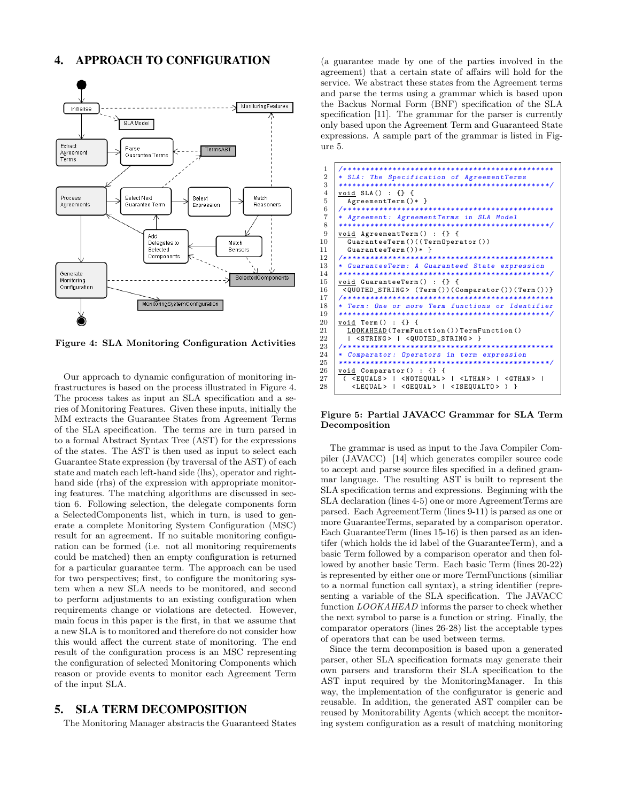#### 4. APPROACH TO CONFIGURATION



Figure 4: SLA Monitoring Configuration Activities

Our approach to dynamic configuration of monitoring infrastructures is based on the process illustrated in Figure 4. The process takes as input an SLA specification and a series of Monitoring Features. Given these inputs, initially the MM extracts the Guarantee States from Agreement Terms of the SLA specification. The terms are in turn parsed in to a formal Abstract Syntax Tree (AST) for the expressions of the states. The AST is then used as input to select each Guarantee State expression (by traversal of the AST) of each state and match each left-hand side (lhs), operator and righthand side (rhs) of the expression with appropriate monitoring features. The matching algorithms are discussed in section 6. Following selection, the delegate components form a SelectedComponents list, which in turn, is used to generate a complete Monitoring System Configuration (MSC) result for an agreement. If no suitable monitoring configuration can be formed (i.e. not all monitoring requirements could be matched) then an empty configuration is returned for a particular guarantee term. The approach can be used for two perspectives; first, to configure the monitoring system when a new SLA needs to be monitored, and second to perform adjustments to an existing configuration when requirements change or violations are detected. However, main focus in this paper is the first, in that we assume that a new SLA is to monitored and therefore do not consider how this would affect the current state of monitoring. The end result of the configuration process is an MSC representing the configuration of selected Monitoring Components which reason or provide events to monitor each Agreement Term of the input SLA.

#### 5. SLA TERM DECOMPOSITION

The Monitoring Manager abstracts the Guaranteed States

(a guarantee made by one of the parties involved in the agreement) that a certain state of affairs will hold for the service. We abstract these states from the Agreement terms and parse the terms using a grammar which is based upon the Backus Normal Form (BNF) specification of the SLA specification [11]. The grammar for the parser is currently only based upon the Agreement Term and Guaranteed State expressions. A sample part of the grammar is listed in Figure 5.



Figure 5: Partial JAVACC Grammar for SLA Term Decomposition

The grammar is used as input to the Java Compiler Compiler (JAVACC) [14] which generates compiler source code to accept and parse source files specified in a defined grammar language. The resulting AST is built to represent the SLA specification terms and expressions. Beginning with the SLA declaration (lines 4-5) one or more AgreementTerms are parsed. Each AgreementTerm (lines 9-11) is parsed as one or more GuaranteeTerms, separated by a comparison operator. Each GuaranteeTerm (lines 15-16) is then parsed as an identifer (which holds the id label of the GuaranteeTerm), and a basic Term followed by a comparison operator and then followed by another basic Term. Each basic Term (lines 20-22) is represented by either one or more TermFunctions (similiar to a normal function call syntax), a string identifier (representing a variable of the SLA specification. The JAVACC function LOOKAHEAD informs the parser to check whether the next symbol to parse is a function or string. Finally, the comparator operators (lines 26-28) list the acceptable types of operators that can be used between terms.

Since the term decomposition is based upon a generated parser, other SLA specification formats may generate their own parsers and transform their SLA specification to the AST input required by the MonitoringManager. In this way, the implementation of the configurator is generic and reusable. In addition, the generated AST compiler can be reused by Monitorability Agents (which accept the monitoring system configuration as a result of matching monitoring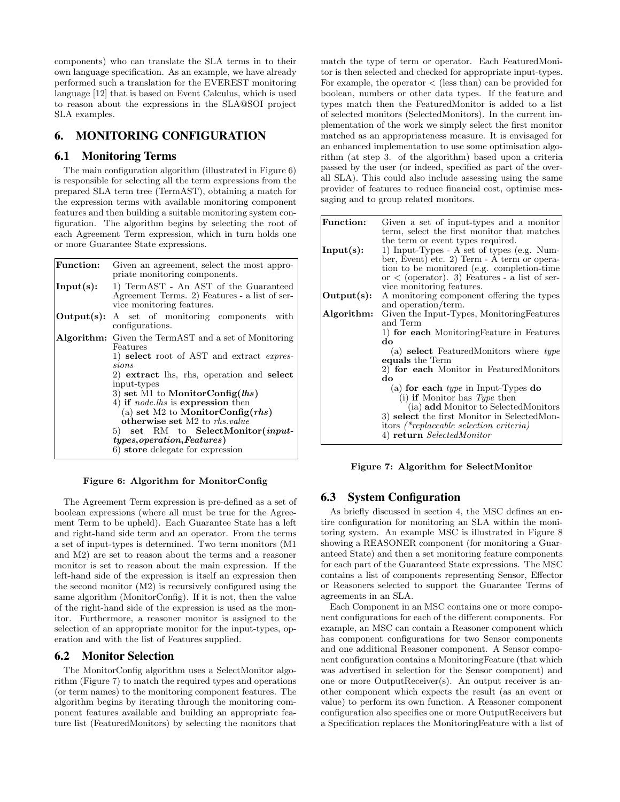components) who can translate the SLA terms in to their own language specification. As an example, we have already performed such a translation for the EVEREST monitoring language [12] that is based on Event Calculus, which is used to reason about the expressions in the SLA@SOI project SLA examples.

#### 6. MONITORING CONFIGURATION

#### 6.1 Monitoring Terms

The main configuration algorithm (illustrated in Figure 6) is responsible for selecting all the term expressions from the prepared SLA term tree (TermAST), obtaining a match for the expression terms with available monitoring component features and then building a suitable monitoring system configuration. The algorithm begins by selecting the root of each Agreement Term expression, which in turn holds one or more Guarantee State expressions.

| $F$ unction:          | Given an agreement, select the most appro-<br>priate monitoring components.                                                                                                                                                                                                                  |
|-----------------------|----------------------------------------------------------------------------------------------------------------------------------------------------------------------------------------------------------------------------------------------------------------------------------------------|
| $\vert$ Input $(s)$ : | 1) TermAST - An AST of the Guaranteed<br>Agreement Terms. 2) Features - a list of ser-<br>vice monitoring features.                                                                                                                                                                          |
| Output(s):            | A set of monitoring components with<br>configurations.                                                                                                                                                                                                                                       |
|                       | <b>Algorithm:</b> Given the TermAST and a set of Monitoring<br>Features<br>1) select root of AST and extract <i>expres</i> -<br>sions<br>2) extract lhs, rhs, operation and select<br>input-types                                                                                            |
|                       | 3) set M1 to MonitorConfig( $\mathit{lhs}$ )<br>4) if <i>node.lhs</i> is expression then<br>(a) set $M2$ to MonitorConfig $(rhs)$<br>otherwise set M2 to <i>rhs.value</i><br>set RM to SelectMonitor(input-<br>5)<br><i>types, operation, Features</i> )<br>6) store delegate for expression |

#### Figure 6: Algorithm for MonitorConfig

The Agreement Term expression is pre-defined as a set of boolean expressions (where all must be true for the Agreement Term to be upheld). Each Guarantee State has a left and right-hand side term and an operator. From the terms a set of input-types is determined. Two term monitors (M1 and M2) are set to reason about the terms and a reasoner monitor is set to reason about the main expression. If the left-hand side of the expression is itself an expression then the second monitor (M2) is recursively configured using the same algorithm (MonitorConfig). If it is not, then the value of the right-hand side of the expression is used as the monitor. Furthermore, a reasoner monitor is assigned to the selection of an appropriate monitor for the input-types, operation and with the list of Features supplied.

#### 6.2 Monitor Selection

The MonitorConfig algorithm uses a SelectMonitor algorithm (Figure 7) to match the required types and operations (or term names) to the monitoring component features. The algorithm begins by iterating through the monitoring component features available and building an appropriate feature list (FeaturedMonitors) by selecting the monitors that match the type of term or operator. Each FeaturedMonitor is then selected and checked for appropriate input-types. For example, the operator  $\langle$  (less than) can be provided for boolean, numbers or other data types. If the feature and types match then the FeaturedMonitor is added to a list of selected monitors (SelectedMonitors). In the current implementation of the work we simply select the first monitor matched as an appropriateness measure. It is envisaged for an enhanced implementation to use some optimisation algorithm (at step 3. of the algorithm) based upon a criteria passed by the user (or indeed, specified as part of the overall SLA). This could also include assessing using the same provider of features to reduce financial cost, optimise messaging and to group related monitors.

| <b>Function:</b> | Given a set of input-types and a monitor          |
|------------------|---------------------------------------------------|
|                  | term, select the first monitor that matches       |
|                  | the term or event types required.                 |
| Input(s):        | 1) Input-Types - A set of types (e.g. Num-        |
|                  | ber, Event) etc. 2) Term - A term or opera-       |
|                  | tion to be monitored (e.g. completion-time        |
|                  | or $\lt$ (operator). 3) Features - a list of ser- |
|                  | vice monitoring features.                         |
|                  |                                                   |
| Output(s):       | A monitoring component offering the types         |
|                  | and operation/term.                               |
| Algorithm:       | Given the Input-Types, Monitoring Features        |
|                  | and Term                                          |
|                  | 1) for each Monitoring Feature in Features        |
|                  | do                                                |
|                  | (a) <b>select</b> Featured Monitors where type    |
|                  | equals the Term                                   |
|                  | 2) for each Monitor in Featured Monitors          |
|                  | do                                                |
|                  | (a) for each <i>type</i> in Input-Types do        |
|                  | (i) if Monitor has $Type$ then                    |
|                  | (ia) <b>add</b> Monitor to SelectedMonitors       |
|                  | 3) select the first Monitor in SelectedMon-       |
|                  | itors (*replaceable selection criteria)           |
|                  | 4) return SelectedMonitor                         |
|                  |                                                   |

Figure 7: Algorithm for SelectMonitor

#### 6.3 System Configuration

As briefly discussed in section 4, the MSC defines an entire configuration for monitoring an SLA within the monitoring system. An example MSC is illustrated in Figure 8 showing a REASONER component (for monitoring a Guaranteed State) and then a set monitoring feature components for each part of the Guaranteed State expressions. The MSC contains a list of components representing Sensor, Effector or Reasoners selected to support the Guarantee Terms of agreements in an SLA.

Each Component in an MSC contains one or more component configurations for each of the different components. For example, an MSC can contain a Reasoner component which has component configurations for two Sensor components and one additional Reasoner component. A Sensor component configuration contains a MonitoringFeature (that which was advertised in selection for the Sensor component) and one or more OutputReceiver(s). An output receiver is another component which expects the result (as an event or value) to perform its own function. A Reasoner component configuration also specifies one or more OutputReceivers but a Specification replaces the MonitoringFeature with a list of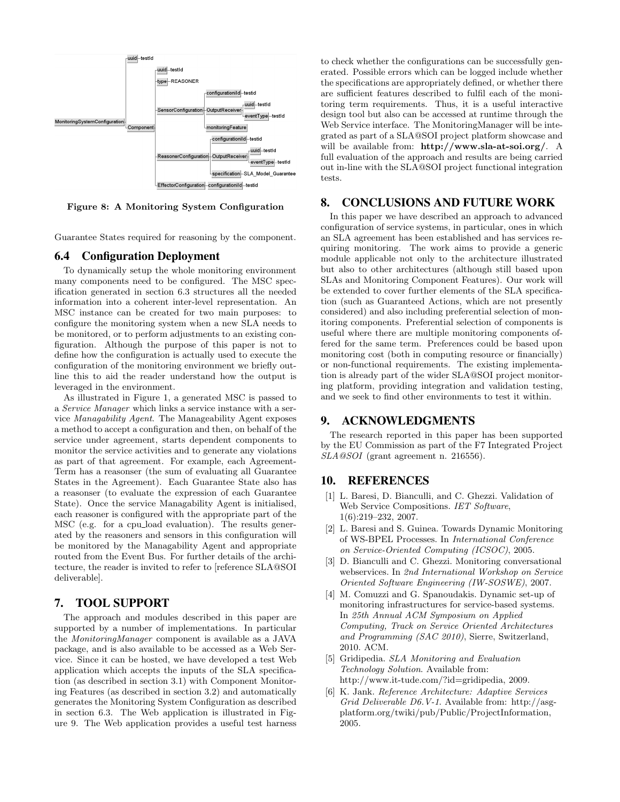

Figure 8: A Monitoring System Configuration

Guarantee States required for reasoning by the component.

#### 6.4 Configuration Deployment

To dynamically setup the whole monitoring environment many components need to be configured. The MSC specification generated in section 6.3 structures all the needed information into a coherent inter-level representation. An MSC instance can be created for two main purposes: to configure the monitoring system when a new SLA needs to be monitored, or to perform adjustments to an existing configuration. Although the purpose of this paper is not to define how the configuration is actually used to execute the configuration of the monitoring environment we briefly outline this to aid the reader understand how the output is leveraged in the environment.

As illustrated in Figure 1, a generated MSC is passed to a Service Manager which links a service instance with a service Managability Agent. The Manageability Agent exposes a method to accept a configuration and then, on behalf of the service under agreement, starts dependent components to monitor the service activities and to generate any violations as part of that agreement. For example, each Agreement-Term has a reasonser (the sum of evaluating all Guarantee States in the Agreement). Each Guarantee State also has a reasonser (to evaluate the expression of each Guarantee State). Once the service Managability Agent is initialised, each reasoner is configured with the appropriate part of the MSC (e.g. for a cpu-load evaluation). The results generated by the reasoners and sensors in this configuration will be monitored by the Managability Agent and appropriate routed from the Event Bus. For further details of the architecture, the reader is invited to refer to [reference SLA@SOI deliverable].

#### 7. TOOL SUPPORT

The approach and modules described in this paper are supported by a number of implementations. In particular the MonitoringManager component is available as a JAVA package, and is also available to be accessed as a Web Service. Since it can be hosted, we have developed a test Web application which accepts the inputs of the SLA specification (as described in section 3.1) with Component Monitoring Features (as described in section 3.2) and automatically generates the Monitoring System Configuration as described in section 6.3. The Web application is illustrated in Figure 9. The Web application provides a useful test harness to check whether the configurations can be successfully generated. Possible errors which can be logged include whether the specifications are appropriately defined, or whether there are sufficient features described to fulfil each of the monitoring term requirements. Thus, it is a useful interactive design tool but also can be accessed at runtime through the Web Service interface. The MonitoringManager will be integrated as part of a SLA@SOI project platform showcase and will be available from: **http://www.sla-at-soi.org/**. A full evaluation of the approach and results are being carried out in-line with the SLA@SOI project functional integration tests.

#### 8. CONCLUSIONS AND FUTURE WORK

In this paper we have described an approach to advanced configuration of service systems, in particular, ones in which an SLA agreement has been established and has services requiring monitoring. The work aims to provide a generic module applicable not only to the architecture illustrated but also to other architectures (although still based upon SLAs and Monitoring Component Features). Our work will be extended to cover further elements of the SLA specification (such as Guaranteed Actions, which are not presently considered) and also including preferential selection of monitoring components. Preferential selection of components is useful where there are multiple monitoring components offered for the same term. Preferences could be based upon monitoring cost (both in computing resource or financially) or non-functional requirements. The existing implementation is already part of the wider SLA@SOI project monitoring platform, providing integration and validation testing, and we seek to find other environments to test it within.

#### 9. ACKNOWLEDGMENTS

The research reported in this paper has been supported by the EU Commission as part of the F7 Integrated Project SLA@SOI (grant agreement n. 216556).

#### 10. REFERENCES

- [1] L. Baresi, D. Bianculli, and C. Ghezzi. Validation of Web Service Compositions. IET Software, 1(6):219–232, 2007.
- [2] L. Baresi and S. Guinea. Towards Dynamic Monitoring of WS-BPEL Processes. In International Conference on Service-Oriented Computing (ICSOC), 2005.
- [3] D. Bianculli and C. Ghezzi. Monitoring conversational webservices. In 2nd International Workshop on Service Oriented Software Engineering (IW-SOSWE), 2007.
- [4] M. Comuzzi and G. Spanoudakis. Dynamic set-up of monitoring infrastructures for service-based systems. In 25th Annual ACM Symposium on Applied Computing, Track on Service Oriented Architectures and Programming (SAC 2010), Sierre, Switzerland, 2010. ACM.
- [5] Gridipedia. SLA Monitoring and Evaluation Technology Solution. Available from: http://www.it-tude.com/?id=gridipedia, 2009.
- [6] K. Jank. Reference Architecture: Adaptive Services Grid Deliverable D6.V-1. Available from: http://asgplatform.org/twiki/pub/Public/ProjectInformation, 2005.